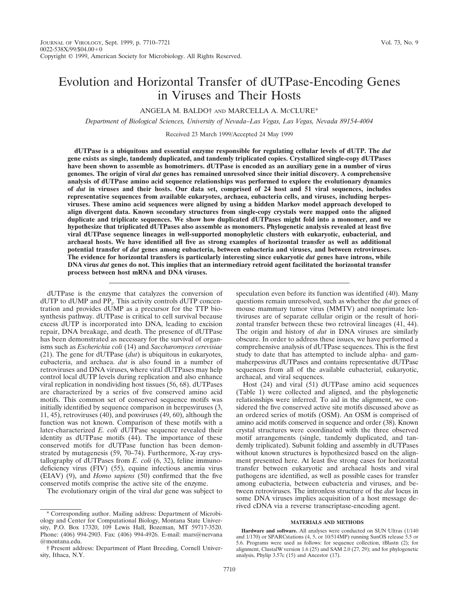# Evolution and Horizontal Transfer of dUTPase-Encoding Genes in Viruses and Their Hosts

ANGELA M. BALDO<sup>†</sup> AND MARCELLA A. McCLURE<sup>\*</sup>

*Department of Biological Sciences, University of Nevada–Las Vegas, Las Vegas, Nevada 89154-4004*

Received 23 March 1999/Accepted 24 May 1999

**dUTPase is a ubiquitous and essential enzyme responsible for regulating cellular levels of dUTP. The** *dut* **gene exists as single, tandemly duplicated, and tandemly triplicated copies. Crystallized single-copy dUTPases have been shown to assemble as homotrimers. dUTPase is encoded as an auxiliary gene in a number of virus genomes. The origin of viral** *dut* **genes has remained unresolved since their initial discovery. A comprehensive analysis of dUTPase amino acid sequence relationships was performed to explore the evolutionary dynamics of** *dut* **in viruses and their hosts. Our data set, comprised of 24 host and 51 viral sequences, includes representative sequences from available eukaryotes, archaea, eubacteria cells, and viruses, including herpesviruses. These amino acid sequences were aligned by using a hidden Markov model approach developed to align divergent data. Known secondary structures from single-copy crystals were mapped onto the aligned duplicate and triplicate sequences. We show how duplicated dUTPases might fold into a monomer, and we hypothesize that triplicated dUTPases also assemble as monomers. Phylogenetic analysis revealed at least five viral dUTPase sequence lineages in well-supported monophyletic clusters with eukaryotic, eubacterial, and archaeal hosts. We have identified all five as strong examples of horizontal transfer as well as additional potential transfer of** *dut* **genes among eubacteria, between eubacteria and viruses, and between retroviruses. The evidence for horizontal transfers is particularly interesting since eukaryotic** *dut* **genes have introns, while DNA virus** *dut* **genes do not. This implies that an intermediary retroid agent facilitated the horizontal transfer process between host mRNA and DNA viruses.**

dUTPase is the enzyme that catalyzes the conversion of dUTP to dUMP and PP<sub>i</sub>. This activity controls dUTP concentration and provides dUMP as a precursor for the TTP biosynthesis pathway. dUTPase is critical to cell survival because excess dUTP is incorporated into DNA, leading to excision repair, DNA breakage, and death. The presence of dUTPase has been demonstrated as necessary for the survival of organisms such as *Escherichia coli* (14) and *Saccharomyces cerevisiae* (21). The gene for dUTPase (*dut*) is ubiquitous in eukaryotes, eubacteria, and archaea. *dut* is also found in a number of retroviruses and DNA viruses, where viral dUTPases may help control local dUTP levels during replication and also enhance viral replication in nondividing host tissues (56, 68). dUTPases are characterized by a series of five conserved amino acid motifs. This common set of conserved sequence motifs was initially identified by sequence comparison in herpesviruses (3, 11, 45), retroviruses (40), and poxviruses (49, 60), although the function was not known. Comparison of these motifs with a later-characterized *E. coli* dUTPase sequence revealed their identity as dUTPase motifs (44). The importance of these conserved motifs for dUTPase function has been demonstrated by mutagenesis (59, 70–74). Furthermore, X-ray crystallography of dUTPases from *E. coli* (6, 32), feline immunodeficiency virus (FIV) (55), equine infectious anemia virus (EIAV) (9), and *Homo sapiens* (50) confirmed that the five conserved motifs comprise the active site of the enzyme.

The evolutionary origin of the viral *dut* gene was subject to

speculation even before its function was identified (40). Many questions remain unresolved, such as whether the *dut* genes of mouse mammary tumor virus (MMTV) and nonprimate lentiviruses are of separate cellular origin or the result of horizontal transfer between these two retroviral lineages (41, 44). The origin and history of *dut* in DNA viruses are similarly obscure. In order to address these issues, we have performed a comprehensive analysis of dUTPase sequences. This is the first study to date that has attempted to include alpha- and gammaherpesvirus dUTPases and contains representative dUTPase sequences from all of the available eubacterial, eukaryotic, archaeal, and viral sequences.

Host (24) and viral (51) dUTPase amino acid sequences (Table 1) were collected and aligned, and the phylogenetic relationships were inferred. To aid in the alignment, we considered the five conserved active site motifs discussed above as an ordered series of motifs (OSM). An OSM is comprised of amino acid motifs conserved in sequence and order (38). Known crystal structures were coordinated with the three observed motif arrangements (single, tandemly duplicated, and tandemly triplicated). Subunit folding and assembly in dUTPases without known structures is hypothesized based on the alignment presented here. At least five strong cases for horizontal transfer between eukaryotic and archaeal hosts and viral pathogens are identified, as well as possible cases for transfer among eubacteria, between eubacteria and viruses, and between retroviruses. The intronless structure of the *dut* locus in some DNA viruses implies acquisition of a host message derived cDNA via a reverse transcriptase-encoding agent.

# **MATERIALS AND METHODS**

<sup>\*</sup> Corresponding author. Mailing address: Department of Microbiology and Center for Computational Biology, Montana State University, P.O. Box 17320, 109 Lewis Hall, Bozeman, MT 59717-3520. Phone: (406) 994-2903. Fax: (406) 994-4926. E-mail: mars@nervana @montana.edu.

<sup>†</sup> Present address: Department of Plant Breeding, Cornell University, Ithaca, N.Y.

**Hardware and software.** All analyses were conducted on SUN Ultras (1/140 and 1/170) or SPARCstations (4, 5, or 10/514MP) running SunOS release 5.5 or 5.6. Programs were used as follows: for sequence collection, tBlastn (2); for alignment, ClustalW version 1.6 (25) and SAM 2.0 (27, 29); and for phylogenetic analysis, Phylip 3.57c (15) and Ancestor (17).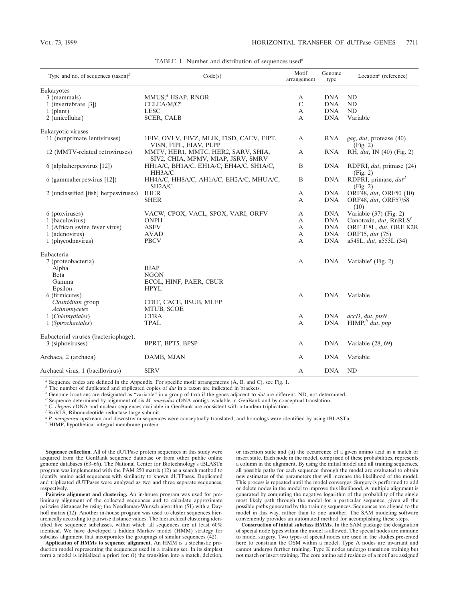| Eukaryotes<br>$MMUS1d$ HSAP, RNOR<br>3 (mammals)<br><b>DNA</b><br>ND<br>А<br>$\mathbf C$<br>1 (invertebrate [3])<br>$CELEA/M/C^e$<br><b>DNA</b><br>ND<br>$\mathbf{A}$<br>ND<br><b>LESC</b><br><b>DNA</b><br>$1$ (plant)<br><b>SCER, CALB</b><br>2 (unicellular)<br><b>DNA</b><br>Variable<br>A<br>Eukaryotic viruses<br>11 (nonprimate lentiviruses)<br>1FIV, OVLV, FIVZ, MLIK, FISD, CAEV, FIPT,<br><b>RNA</b><br>A<br>gag, dut, protease (40)<br>VISN, FIPL, EIAV, PLPP<br>(Fig. 2)<br>12 (MMTV-related retroviruses)<br>MMTV, HER1, MMTC, HER2, SARV, SHIA,<br>A<br><b>RNA</b><br>RH, dut, IN (40) (Fig. 2)<br>SIV2, CHIA, MPMV, MIAP, JSRV, SMRV<br>6 (alphaherpesvirus [12])<br>HH1A/C, BH1A/C, EH1A/C, EH4A/C, SH1A/C,<br>B<br><b>DNA</b><br>RDPRI, dut, primase (24)<br>HH3A/C<br>(Fig. 2)<br>HH4A/C, HH8A/C, AH1A/C, EH2A/C, MHUA/C,<br>RDPRI, primase, dut <sup>d</sup><br>6 (gammaherpesvirus [12])<br>B<br><b>DNA</b><br>SH <sub>2</sub> A/C<br>(Fig. 2)<br><b>IHER</b><br>ORF48, dut, ORF50 (10)<br>2 (unclassified [fish] herpesviruses)<br><b>DNA</b><br>A<br><b>SHER</b><br>A<br><b>DNA</b><br>ORF48, dut, ORF57/58<br>(10)<br>Variable (37) (Fig. 2)<br>6 (poxviruses)<br>VACW, CPOX, VACL, SPOX, VARI, ORFV<br><b>DNA</b><br>A<br>1 (baculovirus)<br><b>DNA</b><br>Conotoxin, dut, RnRLS<br><b>ONPH</b><br>A<br>1 (African swine fever virus)<br><b>ASFV</b><br>$\mathbf{A}$<br><b>DNA</b><br>ORF J18L, dut, ORF K2R<br><b>DNA</b><br>1 (adenovirus)<br><b>AVAD</b><br>$\mathbf{A}$<br>ORF15, dut (75)<br>1 (phycodnavirus)<br><b>PBCV</b><br><b>DNA</b><br>a548L, dut, a553L (34)<br>A<br>Eubacteria<br>7 (proteobacteria)<br>A<br><b>DNA</b><br>Variable <sup><math>g</math></sup> (Fig. 2)<br><b>BJAP</b><br>Alpha<br>Beta<br><b>NGON</b><br>Gamma<br>ECOL, HINF, PAER, CBUR<br>Epsilon<br><b>HPYL</b><br>6 (firmicutes)<br>$\boldsymbol{A}$<br><b>DNA</b><br>Variable<br>Clostridium group<br>CDIF, CACE, BSUB, MLEP<br>Actinomycetes<br>MTUB, SCOE<br>1 (Chlamydiales)<br><b>CTRA</b><br><b>DNA</b><br>$accD, \, \text{d}ut, \, \text{pts}N$<br>A<br>HIMP, h' dut, pnp<br><b>TPAL</b><br><b>DNA</b><br>1 (Spirochaetales)<br>$\boldsymbol{A}$<br>Eubacterial viruses (bacteriophage),<br>3 (siphoviruses)<br>BPRT, BPT5, BPSP<br><b>DNA</b><br>A<br>Variable $(28, 69)$<br>Archaea, 2 (archaea)<br><b>DNA</b><br>Variable<br>DAMB, MJAN<br>A<br><b>ND</b><br>Archaeal virus, 1 (bacillovirus)<br><b>SIRV</b><br><b>DNA</b><br>А | Type and no. of sequences $(\text{taxon})^b$ | Code(s) |  | Genome<br>type | Location <sup><math>c</math></sup> (reference) |  |  |
|-------------------------------------------------------------------------------------------------------------------------------------------------------------------------------------------------------------------------------------------------------------------------------------------------------------------------------------------------------------------------------------------------------------------------------------------------------------------------------------------------------------------------------------------------------------------------------------------------------------------------------------------------------------------------------------------------------------------------------------------------------------------------------------------------------------------------------------------------------------------------------------------------------------------------------------------------------------------------------------------------------------------------------------------------------------------------------------------------------------------------------------------------------------------------------------------------------------------------------------------------------------------------------------------------------------------------------------------------------------------------------------------------------------------------------------------------------------------------------------------------------------------------------------------------------------------------------------------------------------------------------------------------------------------------------------------------------------------------------------------------------------------------------------------------------------------------------------------------------------------------------------------------------------------------------------------------------------------------------------------------------------------------------------------------------------------------------------------------------------------------------------------------------------------------------------------------------------------------------------------------------------------------------------------------------------------------------------------------------------------------------------------------------------------------------------------------------|----------------------------------------------|---------|--|----------------|------------------------------------------------|--|--|
|                                                                                                                                                                                                                                                                                                                                                                                                                                                                                                                                                                                                                                                                                                                                                                                                                                                                                                                                                                                                                                                                                                                                                                                                                                                                                                                                                                                                                                                                                                                                                                                                                                                                                                                                                                                                                                                                                                                                                                                                                                                                                                                                                                                                                                                                                                                                                                                                                                                       |                                              |         |  |                |                                                |  |  |
|                                                                                                                                                                                                                                                                                                                                                                                                                                                                                                                                                                                                                                                                                                                                                                                                                                                                                                                                                                                                                                                                                                                                                                                                                                                                                                                                                                                                                                                                                                                                                                                                                                                                                                                                                                                                                                                                                                                                                                                                                                                                                                                                                                                                                                                                                                                                                                                                                                                       |                                              |         |  |                |                                                |  |  |
|                                                                                                                                                                                                                                                                                                                                                                                                                                                                                                                                                                                                                                                                                                                                                                                                                                                                                                                                                                                                                                                                                                                                                                                                                                                                                                                                                                                                                                                                                                                                                                                                                                                                                                                                                                                                                                                                                                                                                                                                                                                                                                                                                                                                                                                                                                                                                                                                                                                       |                                              |         |  |                |                                                |  |  |
|                                                                                                                                                                                                                                                                                                                                                                                                                                                                                                                                                                                                                                                                                                                                                                                                                                                                                                                                                                                                                                                                                                                                                                                                                                                                                                                                                                                                                                                                                                                                                                                                                                                                                                                                                                                                                                                                                                                                                                                                                                                                                                                                                                                                                                                                                                                                                                                                                                                       |                                              |         |  |                |                                                |  |  |
|                                                                                                                                                                                                                                                                                                                                                                                                                                                                                                                                                                                                                                                                                                                                                                                                                                                                                                                                                                                                                                                                                                                                                                                                                                                                                                                                                                                                                                                                                                                                                                                                                                                                                                                                                                                                                                                                                                                                                                                                                                                                                                                                                                                                                                                                                                                                                                                                                                                       |                                              |         |  |                |                                                |  |  |
|                                                                                                                                                                                                                                                                                                                                                                                                                                                                                                                                                                                                                                                                                                                                                                                                                                                                                                                                                                                                                                                                                                                                                                                                                                                                                                                                                                                                                                                                                                                                                                                                                                                                                                                                                                                                                                                                                                                                                                                                                                                                                                                                                                                                                                                                                                                                                                                                                                                       |                                              |         |  |                |                                                |  |  |
|                                                                                                                                                                                                                                                                                                                                                                                                                                                                                                                                                                                                                                                                                                                                                                                                                                                                                                                                                                                                                                                                                                                                                                                                                                                                                                                                                                                                                                                                                                                                                                                                                                                                                                                                                                                                                                                                                                                                                                                                                                                                                                                                                                                                                                                                                                                                                                                                                                                       |                                              |         |  |                |                                                |  |  |
|                                                                                                                                                                                                                                                                                                                                                                                                                                                                                                                                                                                                                                                                                                                                                                                                                                                                                                                                                                                                                                                                                                                                                                                                                                                                                                                                                                                                                                                                                                                                                                                                                                                                                                                                                                                                                                                                                                                                                                                                                                                                                                                                                                                                                                                                                                                                                                                                                                                       |                                              |         |  |                |                                                |  |  |
|                                                                                                                                                                                                                                                                                                                                                                                                                                                                                                                                                                                                                                                                                                                                                                                                                                                                                                                                                                                                                                                                                                                                                                                                                                                                                                                                                                                                                                                                                                                                                                                                                                                                                                                                                                                                                                                                                                                                                                                                                                                                                                                                                                                                                                                                                                                                                                                                                                                       |                                              |         |  |                |                                                |  |  |
|                                                                                                                                                                                                                                                                                                                                                                                                                                                                                                                                                                                                                                                                                                                                                                                                                                                                                                                                                                                                                                                                                                                                                                                                                                                                                                                                                                                                                                                                                                                                                                                                                                                                                                                                                                                                                                                                                                                                                                                                                                                                                                                                                                                                                                                                                                                                                                                                                                                       |                                              |         |  |                |                                                |  |  |
|                                                                                                                                                                                                                                                                                                                                                                                                                                                                                                                                                                                                                                                                                                                                                                                                                                                                                                                                                                                                                                                                                                                                                                                                                                                                                                                                                                                                                                                                                                                                                                                                                                                                                                                                                                                                                                                                                                                                                                                                                                                                                                                                                                                                                                                                                                                                                                                                                                                       |                                              |         |  |                |                                                |  |  |
|                                                                                                                                                                                                                                                                                                                                                                                                                                                                                                                                                                                                                                                                                                                                                                                                                                                                                                                                                                                                                                                                                                                                                                                                                                                                                                                                                                                                                                                                                                                                                                                                                                                                                                                                                                                                                                                                                                                                                                                                                                                                                                                                                                                                                                                                                                                                                                                                                                                       |                                              |         |  |                |                                                |  |  |
|                                                                                                                                                                                                                                                                                                                                                                                                                                                                                                                                                                                                                                                                                                                                                                                                                                                                                                                                                                                                                                                                                                                                                                                                                                                                                                                                                                                                                                                                                                                                                                                                                                                                                                                                                                                                                                                                                                                                                                                                                                                                                                                                                                                                                                                                                                                                                                                                                                                       |                                              |         |  |                |                                                |  |  |
|                                                                                                                                                                                                                                                                                                                                                                                                                                                                                                                                                                                                                                                                                                                                                                                                                                                                                                                                                                                                                                                                                                                                                                                                                                                                                                                                                                                                                                                                                                                                                                                                                                                                                                                                                                                                                                                                                                                                                                                                                                                                                                                                                                                                                                                                                                                                                                                                                                                       |                                              |         |  |                |                                                |  |  |
|                                                                                                                                                                                                                                                                                                                                                                                                                                                                                                                                                                                                                                                                                                                                                                                                                                                                                                                                                                                                                                                                                                                                                                                                                                                                                                                                                                                                                                                                                                                                                                                                                                                                                                                                                                                                                                                                                                                                                                                                                                                                                                                                                                                                                                                                                                                                                                                                                                                       |                                              |         |  |                |                                                |  |  |
|                                                                                                                                                                                                                                                                                                                                                                                                                                                                                                                                                                                                                                                                                                                                                                                                                                                                                                                                                                                                                                                                                                                                                                                                                                                                                                                                                                                                                                                                                                                                                                                                                                                                                                                                                                                                                                                                                                                                                                                                                                                                                                                                                                                                                                                                                                                                                                                                                                                       |                                              |         |  |                |                                                |  |  |
|                                                                                                                                                                                                                                                                                                                                                                                                                                                                                                                                                                                                                                                                                                                                                                                                                                                                                                                                                                                                                                                                                                                                                                                                                                                                                                                                                                                                                                                                                                                                                                                                                                                                                                                                                                                                                                                                                                                                                                                                                                                                                                                                                                                                                                                                                                                                                                                                                                                       |                                              |         |  |                |                                                |  |  |
|                                                                                                                                                                                                                                                                                                                                                                                                                                                                                                                                                                                                                                                                                                                                                                                                                                                                                                                                                                                                                                                                                                                                                                                                                                                                                                                                                                                                                                                                                                                                                                                                                                                                                                                                                                                                                                                                                                                                                                                                                                                                                                                                                                                                                                                                                                                                                                                                                                                       |                                              |         |  |                |                                                |  |  |
|                                                                                                                                                                                                                                                                                                                                                                                                                                                                                                                                                                                                                                                                                                                                                                                                                                                                                                                                                                                                                                                                                                                                                                                                                                                                                                                                                                                                                                                                                                                                                                                                                                                                                                                                                                                                                                                                                                                                                                                                                                                                                                                                                                                                                                                                                                                                                                                                                                                       |                                              |         |  |                |                                                |  |  |
|                                                                                                                                                                                                                                                                                                                                                                                                                                                                                                                                                                                                                                                                                                                                                                                                                                                                                                                                                                                                                                                                                                                                                                                                                                                                                                                                                                                                                                                                                                                                                                                                                                                                                                                                                                                                                                                                                                                                                                                                                                                                                                                                                                                                                                                                                                                                                                                                                                                       |                                              |         |  |                |                                                |  |  |
|                                                                                                                                                                                                                                                                                                                                                                                                                                                                                                                                                                                                                                                                                                                                                                                                                                                                                                                                                                                                                                                                                                                                                                                                                                                                                                                                                                                                                                                                                                                                                                                                                                                                                                                                                                                                                                                                                                                                                                                                                                                                                                                                                                                                                                                                                                                                                                                                                                                       |                                              |         |  |                |                                                |  |  |
|                                                                                                                                                                                                                                                                                                                                                                                                                                                                                                                                                                                                                                                                                                                                                                                                                                                                                                                                                                                                                                                                                                                                                                                                                                                                                                                                                                                                                                                                                                                                                                                                                                                                                                                                                                                                                                                                                                                                                                                                                                                                                                                                                                                                                                                                                                                                                                                                                                                       |                                              |         |  |                |                                                |  |  |
|                                                                                                                                                                                                                                                                                                                                                                                                                                                                                                                                                                                                                                                                                                                                                                                                                                                                                                                                                                                                                                                                                                                                                                                                                                                                                                                                                                                                                                                                                                                                                                                                                                                                                                                                                                                                                                                                                                                                                                                                                                                                                                                                                                                                                                                                                                                                                                                                                                                       |                                              |         |  |                |                                                |  |  |
|                                                                                                                                                                                                                                                                                                                                                                                                                                                                                                                                                                                                                                                                                                                                                                                                                                                                                                                                                                                                                                                                                                                                                                                                                                                                                                                                                                                                                                                                                                                                                                                                                                                                                                                                                                                                                                                                                                                                                                                                                                                                                                                                                                                                                                                                                                                                                                                                                                                       |                                              |         |  |                |                                                |  |  |
|                                                                                                                                                                                                                                                                                                                                                                                                                                                                                                                                                                                                                                                                                                                                                                                                                                                                                                                                                                                                                                                                                                                                                                                                                                                                                                                                                                                                                                                                                                                                                                                                                                                                                                                                                                                                                                                                                                                                                                                                                                                                                                                                                                                                                                                                                                                                                                                                                                                       |                                              |         |  |                |                                                |  |  |
|                                                                                                                                                                                                                                                                                                                                                                                                                                                                                                                                                                                                                                                                                                                                                                                                                                                                                                                                                                                                                                                                                                                                                                                                                                                                                                                                                                                                                                                                                                                                                                                                                                                                                                                                                                                                                                                                                                                                                                                                                                                                                                                                                                                                                                                                                                                                                                                                                                                       |                                              |         |  |                |                                                |  |  |
|                                                                                                                                                                                                                                                                                                                                                                                                                                                                                                                                                                                                                                                                                                                                                                                                                                                                                                                                                                                                                                                                                                                                                                                                                                                                                                                                                                                                                                                                                                                                                                                                                                                                                                                                                                                                                                                                                                                                                                                                                                                                                                                                                                                                                                                                                                                                                                                                                                                       |                                              |         |  |                |                                                |  |  |
|                                                                                                                                                                                                                                                                                                                                                                                                                                                                                                                                                                                                                                                                                                                                                                                                                                                                                                                                                                                                                                                                                                                                                                                                                                                                                                                                                                                                                                                                                                                                                                                                                                                                                                                                                                                                                                                                                                                                                                                                                                                                                                                                                                                                                                                                                                                                                                                                                                                       |                                              |         |  |                |                                                |  |  |
|                                                                                                                                                                                                                                                                                                                                                                                                                                                                                                                                                                                                                                                                                                                                                                                                                                                                                                                                                                                                                                                                                                                                                                                                                                                                                                                                                                                                                                                                                                                                                                                                                                                                                                                                                                                                                                                                                                                                                                                                                                                                                                                                                                                                                                                                                                                                                                                                                                                       |                                              |         |  |                |                                                |  |  |
|                                                                                                                                                                                                                                                                                                                                                                                                                                                                                                                                                                                                                                                                                                                                                                                                                                                                                                                                                                                                                                                                                                                                                                                                                                                                                                                                                                                                                                                                                                                                                                                                                                                                                                                                                                                                                                                                                                                                                                                                                                                                                                                                                                                                                                                                                                                                                                                                                                                       |                                              |         |  |                |                                                |  |  |
|                                                                                                                                                                                                                                                                                                                                                                                                                                                                                                                                                                                                                                                                                                                                                                                                                                                                                                                                                                                                                                                                                                                                                                                                                                                                                                                                                                                                                                                                                                                                                                                                                                                                                                                                                                                                                                                                                                                                                                                                                                                                                                                                                                                                                                                                                                                                                                                                                                                       |                                              |         |  |                |                                                |  |  |
|                                                                                                                                                                                                                                                                                                                                                                                                                                                                                                                                                                                                                                                                                                                                                                                                                                                                                                                                                                                                                                                                                                                                                                                                                                                                                                                                                                                                                                                                                                                                                                                                                                                                                                                                                                                                                                                                                                                                                                                                                                                                                                                                                                                                                                                                                                                                                                                                                                                       |                                              |         |  |                |                                                |  |  |

| TABLE 1. Number and distribution of sequences used <sup>a</sup> |  |
|-----------------------------------------------------------------|--|
|-----------------------------------------------------------------|--|

*a* Sequence codes are defined in the Appendix. For specific motif arrangements (A, B, and C), see Fig. 1. *b* The number of duplicated and triplicated copies of *dut* in a taxon are indicated in brackets.

<sup>c</sup> Genome locations are designated as "variable" in a group of taxa if the genes adjacent to *dut* are different. ND, not determined.<br>
<sup>d</sup> Sequence determined by alignment of six *M. musculus* cDNA contigs available in G

*<sup>g</sup> P. aeruginosa* upstream and downstream sequences were conceptually translated, and homologs were identified by using tBLASTn. *<sup>h</sup>* HIMP, hypothetical integral membrane protein.

**Sequence collection.** All of the dUTPase protein sequences in this study were acquired from the GenBank sequence database or from other public online genome databases (63-66). The National Center for Biotechnology's tBLASTn program was implemented with the PAM 250 matrix (12) as a search method to identify amino acid sequences with similarity to known dUTPases. Duplicated and triplicated dUTPases were analyzed as two and three separate sequences, respectively.

**Pairwise alignment and clustering.** An in-house program was used for preliminary alignment of the collected sequences and to calculate approximate pairwise distances by using the Needleman-Wunsch algorithm (51) with a Dayhoff matrix (12). Another in-house program was used to cluster sequences hierarchically according to pairwise distance values. The hierarchical clustering identified five sequence subclasses, within which all sequences are at least 60% identical. We have developed a hidden Markov model (HMM) strategy for subclass alignment that incorporates the groupings of similar sequences (42).

**Application of HMMs to sequence alignment.** An HMM is a stochastic production model representing the sequences used in a training set. In its simplest form a model is initialized a priori for: (i) the transition into a match, deletion, or insertion state and (ii) the occurrence of a given amino acid in a match or insert state. Each node in the model, comprised of these probabilities, represents a column in the alignment. By using the initial model and all training sequences, all possible paths for each sequence through the model are evaluated to obtain new estimates of the parameters that will increase the likelihood of the model. This process is repeated until the model converges. Surgery is performed to add or delete nodes in the model to improve this likelihood. A multiple alignment is generated by computing the negative logarithm of the probability of the single most likely path through the model for a particular sequence, given all the possible paths generated by the training sequences. Sequences are aligned to the model in this way, rather than to one another. The SAM modeling software conveniently provides an automated method for accomplishing these steps.

**Construction of initial subclass HMMs.** In the SAM package the designation of special node types within the model is allowed. The special nodes are immune to model surgery. Two types of special nodes are used in the studies presented here to constrain the OSM within a model. Type A nodes are invariant and cannot undergo further training. Type K nodes undergo transition training but not match or insert training. The core amino acid residues of a motif are assigned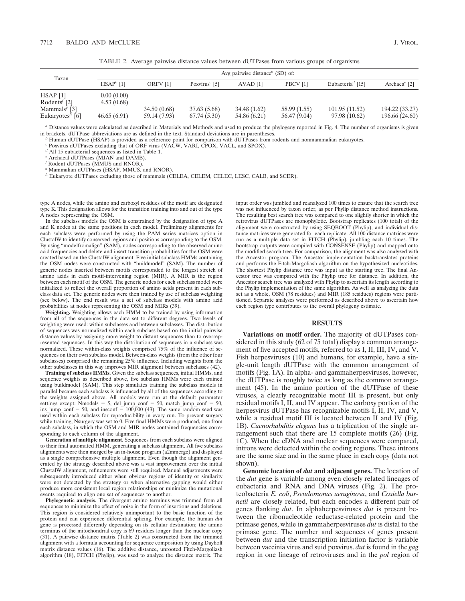TABLE 2. Average pairwise distance values between dUTPases from various groups of organisms

| Taxon                                                              |                          | Avg pairwise distance <sup><math>a</math></sup> (SD) of: |                             |                              |                              |                                |                                  |  |  |
|--------------------------------------------------------------------|--------------------------|----------------------------------------------------------|-----------------------------|------------------------------|------------------------------|--------------------------------|----------------------------------|--|--|
|                                                                    | $HSAPb$ [1]              | ORFV <sub>[1]</sub>                                      | Poxvirus <sup>c</sup> [5]   | $AVAD$ [1]                   | PBCV [1]                     | Eubacteria <sup>d</sup> [15]   | Archaea <sup>e</sup> [2]         |  |  |
| $HSAP$ [1]<br>Rodents <sup><math>\frac{1}{2}</math></sup>          | 0.00(0.00)<br>4.53(0.68) |                                                          |                             |                              |                              |                                |                                  |  |  |
| Mammals <sup><math>\epsilon</math></sup> [3]<br>Eukaryotes $n$ [6] | 46.65(6.91)              | 34.50 (0.68)<br>59.14 (7.93)                             | 37.63 (5.68)<br>67.74(5.30) | 34.48 (1.62)<br>54.86 (6.21) | 58.99 (1.55)<br>56.47 (9.04) | 101.95(11.52)<br>97.98 (10.62) | 194.22 (33.27)<br>196.66 (24.60) |  |  |

<sup>a</sup> Distance values were calculated as described in Materials and Methods and used to produce the phylogeny reported in Fig. 4. The number of organisms is given in brackets. dUTPase abbreviations are as defined in the text

in brackets. dUTPase abbreviations are as defined in the text. Standard deviations are in parentheses.<br><sup>b</sup> Human dUTPase (HSAP) is provided as a reference point for comparison with dUTPases from rodents and nonmammalian eu

*<sup>c</sup>* Poxvirus dUTPases excluding that of ORF virus (VACW, VARI, CPOX, VACL, and SPOX).

*<sup>d</sup>* All 15 eubacterial sequences as listed in Table 1.

*<sup>e</sup>* Archaeal dUTPases (MJAN and DAMB).

*<sup>f</sup>* Rodent dUTPases (MMUS and RNOR).

*<sup>g</sup>* Mammalian dUTPases (HSAP, MMUS, and RNOR).

*<sup>h</sup>* Eukaryote dUTPases excluding those of mammals (CELEA, CELEM, CELEC, LESC, CALB, and SCER).

type A nodes, while the amino and carboxyl residues of the motif are designated type K. This designation allows for the transition training into and out of the type A nodes representing the OSM.

In the subclass models the OSM is constrained by the designation of type A and K nodes at the same positions in each model. Preliminary alignments for each subclass were performed by using the PAM series matrices option in ClustalW to identify conserved regions and positions corresponding to the OSM. By using "modelfromalign" (SAM), nodes corresponding to the observed amino acid frequencies and delete and insert transition probabilities for the OSM were created based on the ClustalW alignment. Five initial subclass HMMs containing the OSM nodes were constructed with "buildmodel" (SAM). The number of generic nodes inserted between motifs corresponded to the longest stretch of amino acids in each motif-intervening region (MIR). A MIR is the region between each motif of the OSM. The generic nodes for each subclass model were initialized to reflect the overall proportion of amino acids present in each subclass data set. The generic nodes were then trained by use of subclass weighting (see below). The end result was a set of subclass models with amino acid probabilities at nodes representing the OSM and MIRs (39).

**Weighting.** Weighting allows each HMM to be trained by using information from all of the sequences in the data set to different degrees. Two levels of weighting were used: within subclasses and between subclasses. The distribution of sequences was normalized within each subclass based on the initial pairwise distance values by assigning more weight to distant sequences than to overrepresented sequences. In this way the distribution of sequences in a subclass was normalized. These within-class weights comprised  $75\%$  of the influence of sequences on their own subclass model. Between-class weights (from the other four subclasses) comprised the remaining 25% influence. Including weights from the other subclasses in this way improves MIR alignment between subclasses (42).

**Training of subclass HMMs.** Given the subclass sequences, initial HMMs, and sequence weights as described above, five subclass HMMs were each trained using buildmodel (SAM). This step simulates training the subclass models in parallel because each subclass is influenced by all of the sequences according to the weights assigned above. All models were run at the default parameter settings except:  $\overline{\text{Nmodels}} = 5$ , del\_jump\_conf = 50, match\_jump\_conf = 50, ins\_jump\_conf = 50, and insconf =  $100,000$  (43). The same random seed was used within each subclass for reproducibility in every run. To prevent surgery while training, Nsurgery was set to 0. Five final HMMs were produced, one from each subclass, in which the OSM and MIR nodes contained frequencies corresponding to each column of the alignment.

**Generation of multiple alignment.** Sequences from each subclass were aligned to their final automated HMM, generating a subclass alignment. All five subclass alignments were then merged by an in-house program (a2mmerge) and displayed as a single comprehensive multiple alignment. Even though the alignment generated by the strategy described above was a vast improvement over the initial ClustalW alignment, refinements were still required. Manual adjustments were subsequently introduced either when obvious regions of identity or similarity were not detected by the strategy or when alternative gapping would either produce more consistent local region relationships or minimize the mutational events required to align one set of sequences to another.

**Phylogenetic analysis.** The divergent amino terminus was trimmed from all sequences to minimize the effect of noise in the form of insertions and deletions. This region is considered relatively unimportant to the basic function of the protein and can experience differential splicing. For example, the human *dut* gene is processed differently depending on its cellular destination; the amino terminus of the mitochondrial copy is 69 residues longer than the nuclear copy (31). A pairwise distance matrix (Table 2) was constructed from the trimmed alignment with a formula accounting for sequence composition by using Dayhoff matrix distance values (16). The additive distance, unrooted Fitch-Margoliash algorithm (18), FITCH (Phylip), was used to analyze the distance matrix. The

input order was jumbled and reanalyzed 100 times to ensure that the search tree was not influenced by taxon order, as per Phylip distance method instructions. The resulting best search tree was compared to one slightly shorter in which the retrovirus dUTPases are monophyletic. Bootstrap replicates (100 total) of the alignment were constructed by using SEQBOOT (Phylip), and individual distance matrices were generated for each replicate. All 100 distance matrices were run as a multiple data set in FITCH (Phylip), jumbling each 10 times. The bootstrap outputs were compiled with CONSENSE (Phylip) and mapped onto the modified search tree. For comparison, the alignment was also analyzed with the Ancestor program. The Ancestor implementation backtranslates proteins and performs the Fitch-Margoliash algorithm on the hypothesized nucleotides. The shortest Phylip distance tree was input as the starting tree. The final Ancestor tree was compared with the Phylip tree for distance. In addition, the Ancestor search tree was analyzed with Phylip to ascertain its length according to the Phylip implementation of the same algorithm. As well as analyzing the data set as a whole, OSM (78 residues) and MIR (185 residues) regions were partitioned. Separate analyses were performed as described above to ascertain how each region type contributes to the overall phylogeny estimate.

## **RESULTS**

**Variations on motif order.** The majority of dUTPases considered in this study (62 of 75 total) display a common arrangement of five accepted motifs, referred to as I, II, III, IV, and V. Fish herpesviruses (10) and humans, for example, have a single-unit length dUTPase with the common arrangement of motifs (Fig. 1A). In alpha- and gammaherpesviruses, however, the dUTPase is roughly twice as long as the common arrangement (45). In the amino portion of the dUTPase of these viruses, a clearly recognizable motif III is present, but only residual motifs I, II, and IV appear. The carboxy portion of the herpesvirus dUTPase has recognizable motifs I, II, IV, and V, while a residual motif III is located between II and IV (Fig. 1B). *Caenorhabditis elegans* has a triplication of the single arrangement such that there are 15 complete motifs (26) (Fig. 1C). When the cDNA and nuclear sequences were compared, introns were detected within the coding regions. These introns are the same size and in the same place in each copy (data not shown).

**Genomic location of** *dut* **and adjacent genes.** The location of the *dut* gene is variable among even closely related lineages of eubacteria and RNA and DNA viruses (Fig. 2). The proteobacteria *E. coli*, *Pseudomonas aeruginosa*, and *Coxiella burnetii* are closely related, but each encodes a different pair of genes flanking *dut*. In alphaherpesviruses *dut* is present between the ribonucleotide reductase-related protein and the primase genes, while in gammaherpesviruses *dut* is distal to the primase gene. The number and sequences of genes present between *dut* and the transcription initiation factor is variable between vaccinia virus and suid poxvirus. *dut* is found in the *gag* region in one lineage of retroviruses and in the *pol* region of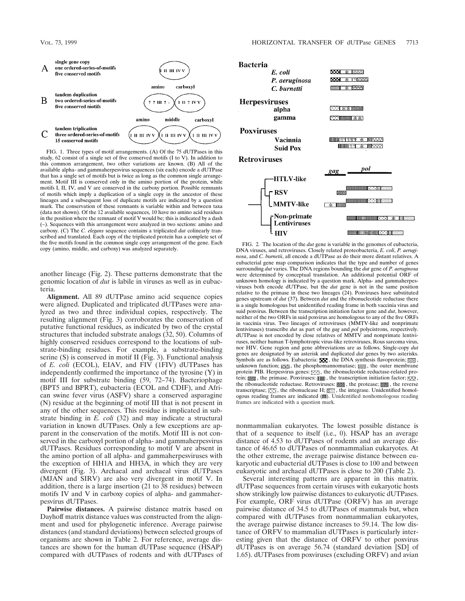

FIG. 1. Three types of motif arrangements. (A) Of the 75 dUTPases in this study, 62 consist of a single set of five conserved motifs (I to V). In addition to this common arrangement, two other variations are known. (B) All of the available alpha- and gammaherpesvirus sequences (six each) encode a dUTPase that has a single set of motifs but is twice as long as the common single arrangement. Motif III is conserved only in the amino portion of the protein, while motifs I, II, IV, and V are conserved in the carboxy portion. Possible remnants of motifs which imply a duplication of a single copy in the ancestor of these lineages and a subsequent loss of duplicate motifs are indicated by a question mark. The conservation of these remnants is variable within and between taxa (data not shown). Of the 12 available sequences, 10 have no amino acid residues in the position where the remnant of motif V would be; this is indicated by a dash (–). Sequences with this arrangement were analyzed in two sections: amino and carboxy. (C) The *C. elegans* sequence contains a triplicated *dut* colinearly transcribed and translated. Each copy of the triplicated protein has a complete set of the five motifs found in the common single copy arrangement of the gene. Each copy (amino, middle, and carboxy) was analyzed separately.

another lineage (Fig. 2). These patterns demonstrate that the genomic location of *dut* is labile in viruses as well as in eubacteria.

**Alignment.** All 89 dUTPase amino acid sequence copies were aligned. Duplicated and triplicated dUTPases were analyzed as two and three individual copies, respectively. The resulting alignment (Fig. 3) corroborates the conservation of putative functional residues, as indicated by two of the crystal structures that included substrate analogs (32, 50). Columns of highly conserved residues correspond to the locations of substrate-binding residues. For example, a substrate-binding serine (S) is conserved in motif II (Fig. 3). Functional analysis of *E. coli* (ECOL), EIAV, and FIV (1FIV) dUTPases has independently confirmed the importance of the tyrosine (Y) in motif III for substrate binding (59, 72–74). Bacteriophage (BPT5 and BPRT), eubacteria (ECOL and CDIF), and African swine fever virus (ASFV) share a conserved asparagine (N) residue at the beginning of motif III that is not present in any of the other sequences. This residue is implicated in substrate binding in *E. coli* (32) and may indicate a structural variation in known dUTPases. Only a few exceptions are apparent in the conservation of the motifs. Motif III is not conserved in the carboxyl portion of alpha- and gammaherpesvirus dUTPases. Residues corresponding to motif V are absent in the amino portion of all alpha- and gammaherpesviruses with the exception of HH1A and HH3A, in which they are very divergent (Fig. 3). Archaeal and archaeal virus dUTPases (MJAN and SIRV) are also very divergent in motif V. In addition, there is a large insertion (21 to 38 residues) between motifs IV and V in carboxy copies of alpha- and gammaherpesvirus dUTPases.

**Pairwise distances.** A pairwise distance matrix based on Dayhoff matrix distance values was constructed from the alignment and used for phylogenetic inference. Average pairwise distances (and standard deviations) between selected groups of organisms are shown in Table 2. For reference, average distances are shown for the human dUTPase sequence (HSAP) compared with dUTPases of rodents and with dUTPases of



FIG. 2. The location of the *dut* gene is variable in the genomes of eubacteria, DNA viruses, and retroviruses. Closely related proteobacteria, *E. coli*, *P. aeruginosa*, and *C. burnetii*, all encode a dUTPase as do their more distant relatives. A eubacterial gene map comparison indicates that the type and number of genes surrounding *dut* varies. The DNA regions bounding the *dut* gene of *P. aeruginosa* were determined by conceptual translation. An additional potential ORF of unknown homology is indicated by a question mark. Alpha- and gammaherpesviruses both encode dUTPase, but the *dut* gene is not in the same position relative to the primase in these two lineages (24). Poxviruses have substituted genes upstream of *dut* (37). Between *dut* and the ribonucleotide reductase there is a single homologous but unidentified reading frame in both vaccinia virus and suid poxvirus. Between the transcription initiation factor gene and *dut*, however, neither of the two ORFs in suid poxvirus are homologous to any of the five ORFs in vaccinia virus. Two lineages of retroviruses (MMTV-like and nonprimate lentiviruses) transcribe *dut* as part of the *gag* and *pol* polycistrons, respectively. dUTPase is not encoded by close relatives of MMTV and nonprimate lentiviruses, neither human T-lymphotropic virus-like retroviruses, Rous sarcoma virus, nor HIV. Gene region and gene abbreviations are as follows. Single-copy *dut* genes are designated by an asterisk and duplicated *dut* genes by two asterisks. Symbols are as follows. Eubacteria:  $\Box$ , the DNA synthesis flavoprotein;  $\boxtimes$ , unknown function;  $\equiv$  , the phosphomannomutase;  $\equiv$  , the outer membrane protein PIB. Herpesvirus genes:  $\Box$ , the ribonucleotide reductase-related protein;  $\chi$ , the primase. Poxviruses:  $\chi$ , the transcription initiation factor;  $\chi$ <sub>X</sub>, the ribonucleotide reductase. Retroviruses: **XXX**, the protease;  $\text{min}$ , the reverse transcriptase;  $\Box$ , the ribonuclease H;  $\Box$ , the integrase. Unidentified homologous reading frames are indicated ( ). Unidentified nonhomologous reading frames are indicated with a question mark.

nonmammalian eukaryotes. The lowest possible distance is that of a sequence to itself (i.e., 0). HSAP has an average distance of 4.53 to dUTPases of rodents and an average distance of 46.65 to dUTPases of nonmammalian eukaryotes. At the other extreme, the average pairwise distance between eukaryotic and eubacterial dUTPases is close to 100 and between eukaryotic and archaeal dUTPases is close to 200 (Table 2).

Several interesting patterns are apparent in this matrix. dUTPase sequences from certain viruses with eukaryotic hosts show strikingly low pairwise distances to eukaryotic dUTPases. For example, ORF virus dUTPase (ORFV) has an average pairwise distance of 34.5 to dUTPases of mammals but, when compared with dUTPases from nonmammalian eukaryotes, the average pairwise distance increases to 59.14. The low distance of ORFV to mammalian dUTPases is particularly interesting given that the distance of ORFV to other poxvirus dUTPases is on average 56.74 (standard deviation [SD] of 1.65). dUTPases from poxviruses (excluding ORFV) and avian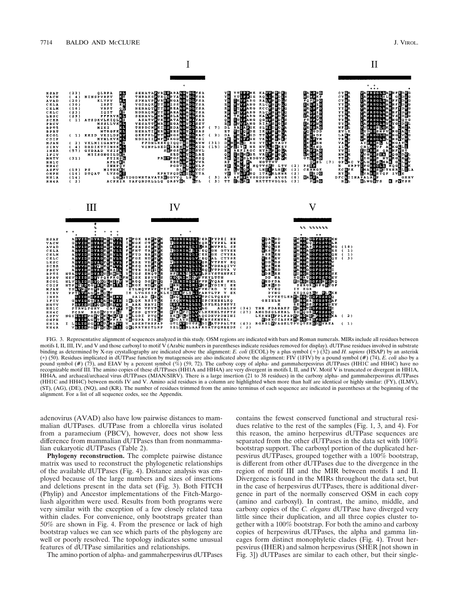

FIG. 3. Representative alignment of sequences analyzed in this study. OSM regions are indicated with bars and Roman numerals. MIRs include all residues between motifs I, II, III, IV, and V and those carboxyl to motif V (Arabic numbers in parentheses indicate residues removed for display). dUTPase residues involved in substrate binding as determined by X-ray crystallography are indicated above the alignment: *E. coli* (ECOL) by a plus symbol (1) (32) and *H. sapiens* (HSAP) by an asterisk (p) (50). Residues implicated in dUTPase function by mutagenesis are also indicated above the alignment: FIV (1FIV) by a pound symbol (#) (74), *E. coli* also by a pound symbol (#) (73), and EIAV by a percent symbol (%) (59, 72). The carboxy copy of alpha- and gammaherpesvirus dUTPases (HH1C and HH4C) have no recognizable motif III. The amino copies of these dUTPases (HH1A and HH4A) are very divergent in motifs I, II, and IV. Motif V is truncated or divergent in HH1A, HH4A, and archaeal/archaeal virus dUTPases (MJAN/SIRV). There is a large insertion (21 to 38 residues) in the carboxy alpha- and gammaherpesvirus dUTPases (HH1C and HH4C) between motifs IV and V. Amino acid residues in a column are highlighted when more than half are identical or highly similar: (FY), (ILMV), (ST), (AG), (DE), (NQ), and (KR). The number of residues trimmed from the amino terminus of each sequence are indicated in parentheses at the beginning of the alignment. For a list of all sequence codes, see the Appendix.

adenovirus (AVAD) also have low pairwise distances to mammalian dUTPases. dUTPase from a chlorella virus isolated from a paramecium (PBCV), however, does not show less difference from mammalian dUTPases than from nonmammalian eukaryotic dUTPases (Table 2).

**Phylogeny reconstruction.** The complete pairwise distance matrix was used to reconstruct the phylogenetic relationships of the available dUTPases (Fig. 4). Distance analysis was employed because of the large numbers and sizes of insertions and deletions present in the data set (Fig. 3). Both FITCH (Phylip) and Ancestor implementations of the Fitch-Margoliash algorithm were used. Results from both programs were very similar with the exception of a few closely related taxa within clades. For convenience, only bootstraps greater than 50% are shown in Fig. 4. From the presence or lack of high bootstrap values we can see which parts of the phylogeny are well or poorly resolved. The topology indicates some unusual features of dUTPase similarities and relationships.

The amino portion of alpha- and gammaherpesvirus dUTPases

contains the fewest conserved functional and structural residues relative to the rest of the samples (Fig. 1, 3, and 4). For this reason, the amino herpesvirus dUTPase sequences are separated from the other dUTPases in the data set with 100% bootstrap support. The carboxyl portion of the duplicated herpesvirus dUTPases, grouped together with a 100% bootstrap, is different from other dUTPases due to the divergence in the region of motif III and the MIR between motifs I and II. Divergence is found in the MIRs throughout the data set, but in the case of herpesvirus dUTPases, there is additional divergence in part of the normally conserved OSM in each copy (amino and carboxyl). In contrast, the amino, middle, and carboxy copies of the *C. elegans* dUTPase have diverged very little since their duplication, and all three copies cluster together with a 100% bootstrap. For both the amino and carboxy copies of herpesvirus dUTPases, the alpha and gamma lineages form distinct monophyletic clades (Fig. 4). Trout herpesvirus (IHER) and salmon herpesvirus (SHER [not shown in Fig. 3]) dUTPases are similar to each other, but their single-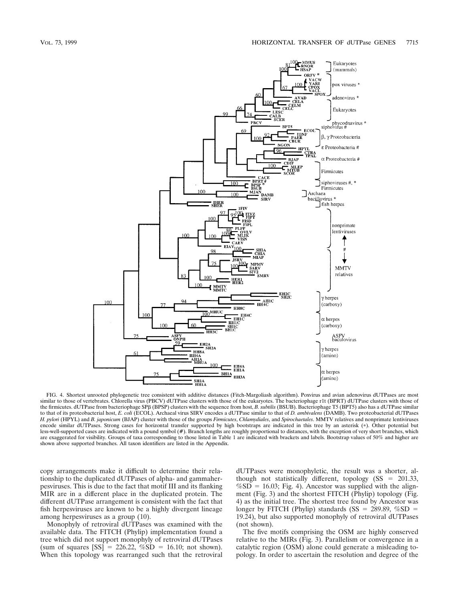

FIG. 4. Shortest unrooted phylogenetic tree consistent with additive distances (Fitch-Margoliash algorithm). Poxvirus and avian adenovirus dUTPases are most similar to those of vertebrates. Chlorella virus (PBCV) dUTPase clusters with those of the eukaryotes. The bacteriophage r1t (BPRT) dUTPase clusters with those of the firmicutes. dUTPase from bacteriophage SPB (BPSP) clusters with the sequence from host, *B. subtilis* (BSUB). Bacteriophage T5 (BPT5) also has a dUTPase similar to that of its proteobacterial host, *E. coli* (ECOL). Archaeal virus SIRV encodes a dUTPase similar to that of *D. ambivalens* (DAMB). Two proteobacterial dUTPases *H. pylori* (HPYL) and *B. japonicum* (BJAP) cluster with those of the groups *Firmicutes*, *Chlamydiales*, and *Spirochaetales*. MMTV relatives and nonprimate lentiviruses encode similar dUTPases. Strong cases for horizontal transfer supported by high bootstraps are indicated in this tree by an asterisk (p). Other potential but less-well-supported cases are indicated with a pound symbol (#). Branch lengths are roughly proportional to distances, with the exception of very short branches, which are exaggerated for visibility. Groups of taxa corresponding to those listed in Table 1 are indicated with brackets and labels. Bootstrap values of 50% and higher are shown above supported branches. All taxon identifiers are listed in the Appendix.

copy arrangements make it difficult to determine their relationship to the duplicated dUTPases of alpha- and gammaherpesviruses. This is due to the fact that motif III and its flanking MIR are in a different place in the duplicated protein. The different dUTPase arrangement is consistent with the fact that fish herpesviruses are known to be a highly divergent lineage among herpesviruses as a group (10).

Monophyly of retroviral dUTPases was examined with the available data. The FITCH (Phylip) implementation found a tree which did not support monophyly of retroviral dUTPases (sum of squares  $[SS] = 226.22$ ,  $\%SD = 16.10$ ; not shown). When this topology was rearranged such that the retroviral

dUTPases were monophyletic, the result was a shorter, although not statistically different, topology ( $SS = 201.33$ ,  $%SD = 16.03$ ; Fig. 4). Ancestor was supplied with the alignment (Fig. 3) and the shortest FITCH (Phylip) topology (Fig. 4) as the initial tree. The shortest tree found by Ancestor was longer by FITCH (Phylip) standards (SS = 289.89,  $%SD =$ 19.24), but also supported monophyly of retroviral dUTPases (not shown).

The five motifs comprising the OSM are highly conserved relative to the MIRs (Fig. 3). Parallelism or convergence in a catalytic region (OSM) alone could generate a misleading topology. In order to ascertain the resolution and degree of the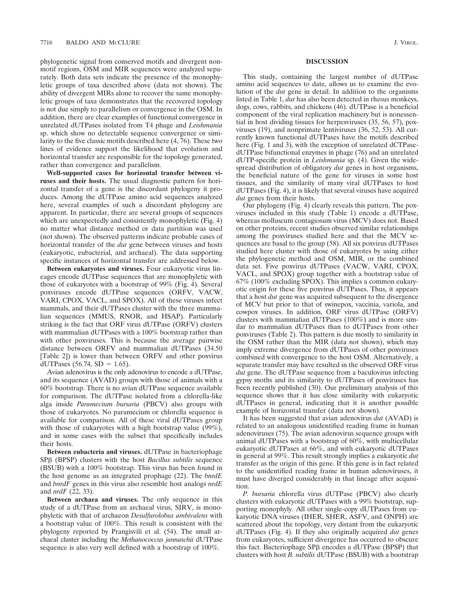phylogenetic signal from conserved motifs and divergent nonmotif regions, OSM and MIR sequences were analyzed separately. Both data sets indicate the presence of the monophyletic groups of taxa described above (data not shown). The ability of divergent MIRs alone to recover the same monophyletic groups of taxa demonstrates that the recovered topology is not due simply to parallelism or convergence in the OSM. In addition, there are clear examples of functional convergence in unrelated dUTPases isolated from T4 phage and *Leishmania* sp. which show no detectable sequence convergence or similarity to the five classic motifs described here (4, 76). These two lines of evidence support the likelihood that evolution and horizontal transfer are responsible for the topology generated, rather than convergence and parallelism.

**Well-supported cases for horizontal transfer between viruses and their hosts.** The usual diagnostic pattern for horizontal transfer of a gene is the discordant phylogeny it produces. Among the dUTPase amino acid sequences analyzed here, several examples of such a discordant phylogeny are apparent. In particular, there are several groups of sequences which are unexpectedly and consistently monophyletic (Fig. 4) no matter what distance method or data partition was used (not shown). The observed patterns indicate probable cases of horizontal transfer of the *dut* gene between viruses and hosts (eukaryotic, eubacterial, and archaeal). The data supporting specific instances of horizontal transfer are addressed below.

**Between eukaryotes and viruses.** Four eukaryotic virus lineages encode dUTPase sequences that are monophyletic with those of eukaryotes with a bootstrap of 99% (Fig. 4). Several poxviruses encode dUTPase sequences (ORFV, VACW, VARI, CPOX, VACL, and SPOX). All of these viruses infect mammals, and their dUTPases cluster with the three mammalian sequences (MMUS, RNOR, and HSAP). Particularly striking is the fact that ORF virus dUTPase (ORFV) clusters with mammalian dUTPases with a 100% bootstrap rather than with other poxviruses. This is because the average pairwise distance between ORFV and mammalian dUTPases (34.50 [Table 2]) is lower than between ORFV and other poxvirus dUTPases (56.74,  $SD = 1.65$ ).

Avian adenovirus is the only adenovirus to encode a dUTPase, and its sequence (AVAD) groups with those of animals with a 60% bootstrap. There is no avian dUTPase sequence available for comparison. The dUTPase isolated from a chlorella-like alga inside *Paramecium bursaria* (PBCV) also groups with those of eukaryotes. No paramecium or chlorella sequence is available for comparison. All of these viral dUTPases group with those of eukaryotes with a high bootstrap value (99%), and in some cases with the subset that specifically includes their hosts.

**Between eubacteria and viruses.** dUTPase in bacteriophage SPb (BPSP) clusters with the host *Bacillus subtilis* sequence (BSUB) with a 100% bootstrap. This virus has been found in the host genome as an integrated prophage (22). The *bnrdE* and *bnrdF* genes in this virus also resemble host analogs *nrdE* and *nrdF* (22, 33).

**Between archaea and viruses.** The only sequence in this study of a dUTPase from an archaeal virus, SIRV, is monophyletic with that of archaeon *Desulfurolobus ambivalens* with a bootstrap value of 100%. This result is consistent with the phylogeny reported by Prangisvili et al. (54). The small archaeal cluster including the *Methanococcus jannaschii* dUTPase sequence is also very well defined with a bootstrap of 100%.

#### **DISCUSSION**

This study, containing the largest number of dUTPase amino acid sequences to date, allows us to examine the evolution of the *dut* gene in detail. In addition to the organisms listed in Table 1, *dut* has also been detected in rhesus monkeys, dogs, cows, rabbits, and chickens (46). dUTPase is a beneficial component of the viral replication machinery but is nonessential in host dividing tissues for herpesviruses (35, 56, 57), poxviruses (19), and nonprimate lentiviruses (36, 52, 53). All currently known functional dUTPases have the motifs described here (Fig. 1 and 3), with the exception of unrelated dCTPasedUTPase bifunctional enzymes in phage (76) and an unrelated dUTP-specific protein in *Leishmania* sp. (4). Given the widespread distribution of obligatory *dut* genes in host organisms, the beneficial nature of the gene for viruses in some host tissues, and the similarity of many viral dUTPases to host dUTPases (Fig. 4), it is likely that several viruses have acquired *dut* genes from their hosts.

Our phylogeny (Fig. 4) clearly reveals this pattern. The poxviruses included in this study (Table 1) encode a dUTPase, whereas molluscum contagiosum virus (MCV) does not. Based on other proteins, recent studies observed similar relationships among the poxviruses studied here and that the MCV sequences are basal to the group (58). All six poxvirus dUTPases studied here cluster with those of eukaryotes by using either the phylogenetic method and OSM, MIR, or the combined data set. Five poxvirus dUTPases (VACW, VARI, CPOX, VACL, and SPOX) group together with a bootstrap value of 67% (100% excluding SPOX). This implies a common eukaryotic origin for these five poxvirus dUTPases. Thus, it appears that a host *dut* gene was acquired subsequent to the divergence of MCV but prior to that of swinepox, vaccinia, variola, and cowpox viruses. In addition, ORF virus dUTPase (ORFV) clusters with mammalian dUTPases (100%) and is more similar to mammalian dUTPases than to dUTPases from other poxviruses (Table 2). This pattern is due mostly to similarity in the OSM rather than the MIR (data not shown), which may imply extreme divergence from dUTPases of other poxviruses combined with convergence to the host OSM. Alternatively, a separate transfer may have resulted in the observed ORF virus *dut* gene. The dUTPase sequence from a baculovirus infecting gypsy moths and its similarity to dUTPases of poxviruses has been recently published (30). Our preliminary analysis of this sequence shows that it has close similarity with eukaryotic dUTPases in general, indicating that it is another possible example of horizontal transfer (data not shown).

It has been suggested that avian adenovirus *dut* (AVAD) is related to an analogous unidentified reading frame in human adenoviruses (75). The avian adenovirus sequence groups with animal dUTPases with a bootstrap of 60%, with multicellular eukaryotic dUTPases at 66%, and with eukaryotic dUTPases in general at 99%. This result strongly implies a eukaryotic *dut* transfer as the origin of this gene. If this gene is in fact related to the unidentified reading frame in human adenoviruses, it must have diverged considerably in that lineage after acquisition.

*P. bursaria* chlorella virus dUTPase (PBCV) also clearly clusters with eukaryotic dUTPases with a 99% bootstrap, supporting monophyly. All other single-copy dUTPases from eukaryotic DNA viruses (IHER, SHER, ASFV, and ONPH) are scattered about the topology, very distant from the eukaryotic dUTPases (Fig. 4). If they also originally acquired *dut* genes from eukaryotes, sufficient divergence has occurred to obscure this fact. Bacteriophage SPB encodes a dUTPase (BPSP) that clusters with host *B. subtilis* dUTPase (BSUB) with a bootstrap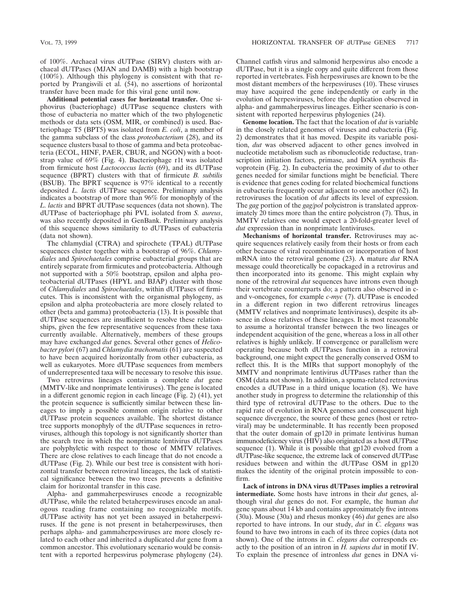of 100%. Archaeal virus dUTPase (SIRV) clusters with archaeal dUTPases (MJAN and DAMB) with a high bootstrap (100%). Although this phylogeny is consistent with that reported by Prangisvili et al. (54), no assertions of horizontal transfer have been made for this viral gene until now.

**Additional potential cases for horizontal transfer.** One siphovirus (bacteriophage) dUTPase sequence clusters with those of eubacteria no matter which of the two phylogenetic methods or data sets (OSM, MIR, or combined) is used. Bacteriophage T5 (BPT5) was isolated from *E. coli*, a member of the gamma subclass of the class *proteobacterium* (28), and its sequence clusters basal to those of gamma and beta proteobacteria (ECOL, HINF, PAER, CBUR, and NGON) with a bootstrap value of 69% (Fig. 4). Bacteriophage r1t was isolated from firmicute host *Lactococcus lactis* (69), and its dUTPase sequence (BPRT) clusters with that of firmicute *B. subtilis* (BSUB). The BPRT sequence is 97% identical to a recently deposited *L. lactis* dUTPase sequence. Preliminary analysis indicates a bootstrap of more than 96% for monophyly of the *L. lactis* and BPRT dUTPase sequences (data not shown). The dUTPase of bacteriophage phi PVL isolated from *S. aureus*, was also recently deposited in GenBank. Preliminary analysis of this sequence shows similarity to dUTPases of eubacteria (data not shown).

The chlamydial (CTRA) and spirochete (TPAL) dUTPase sequences cluster together with a bootstrap of 96%. *Chlamydiales* and *Spirochaetales* comprise eubacterial groups that are entirely separate from firmicutes and proteobacteria. Although not supported with a 50% bootstrap, epsilon and alpha proteobacterial dUTPases (HPYL and BJAP) cluster with those of *Chlamydiales* and *Spirochaetales*, within dUTPases of firmicutes. This is inconsistent with the organismal phylogeny, as epsilon and alpha proteobacteria are more closely related to other (beta and gamma) proteobacteria (13). It is possible that dUTPase sequences are insufficient to resolve these relationships, given the few representative sequences from these taxa currently available. Alternatively, members of these groups may have exchanged *dut* genes. Several other genes of *Helicobacter pylori* (67) and *Chlamydia trachomatis* (61) are suspected to have been acquired horizontally from other eubacteria, as well as eukaryotes. More dUTPase sequences from members of underrepresented taxa will be necessary to resolve this issue.

Two retrovirus lineages contain a complete *dut* gene (MMTV-like and nonprimate lentiviruses). The gene is located in a different genomic region in each lineage (Fig. 2) (41), yet the protein sequence is sufficiently similar between these lineages to imply a possible common origin relative to other dUTPase protein sequences available. The shortest distance tree supports monophyly of the dUTPase sequences in retroviruses, although this topology is not significantly shorter than the search tree in which the nonprimate lentivirus dUTPases are polyphyletic with respect to those of MMTV relatives. There are close relatives to each lineage that do not encode a dUTPase (Fig. 2). While our best tree is consistent with horizontal transfer between retroviral lineages, the lack of statistical significance between the two trees prevents a definitive claim for horizontal transfer in this case.

Alpha- and gammaherpesviruses encode a recognizable dUTPase, while the related betaherpesviruses encode an analogous reading frame containing no recognizable motifs. dUTPase activity has not yet been assayed in betaherpesviruses. If the gene is not present in betaherpesviruses, then perhaps alpha- and gammaherpesviruses are more closely related to each other and inherited a duplicated *dut* gene from a common ancestor. This evolutionary scenario would be consistent with a reported herpesvirus polymerase phylogeny (24).

Channel catfish virus and salmonid herpesvirus also encode a dUTPase, but it is a single copy and quite different from those reported in vertebrates. Fish herpesviruses are known to be the most distant members of the herpesviruses (10). These viruses may have acquired the gene independently or early in the evolution of herpesviruses, before the duplication observed in alpha- and gammaherpesvirus lineages. Either scenario is consistent with reported herpesvirus phylogenies (24).

**Genome location.** The fact that the location of *dut* is variable in the closely related genomes of viruses and eubacteria (Fig. 2) demonstrates that it has moved. Despite its variable position, *dut* was observed adjacent to other genes involved in nucleotide metabolism such as ribonucleotide reductase, transcription initiation factors, primase, and DNA synthesis flavoprotein (Fig. 2). In eubacteria the proximity of *dut* to other genes needed for similar functions might be beneficial. There is evidence that genes coding for related biochemical functions in eubacteria frequently occur adjacent to one another (62). In retroviruses the location of *dut* affects its level of expression. The *gag* portion of the *gag/pol* polycistron is translated approximately 20 times more than the entire polycistron (7). Thus, in MMTV relatives one would expect a 20-fold-greater level of *dut* expression than in nonprimate lentiviruses.

**Mechanisms of horizontal transfer.** Retroviruses may acquire sequences relatively easily from their hosts or from each other because of viral recombination or incorporation of host mRNA into the retroviral genome (23). A mature *dut* RNA message could theoretically be copackaged in a retrovirus and then incorporated into its genome. This might explain why none of the retroviral *dut* sequences have introns even though their vertebrate counterparts do; a pattern also observed in cand v-oncogenes, for example *c-myc* (7). dUTPase is encoded in a different region in two different retrovirus lineages (MMTV relatives and nonprimate lentiviruses), despite its absence in close relatives of these lineages. It is most reasonable to assume a horizontal transfer between the two lineages or independent acquisition of the gene, whereas a loss in all other relatives is highly unlikely. If convergence or parallelism were operating because both dUTPases function in a retroviral background, one might expect the generally conserved OSM to reflect this. It is the MIRs that support monophyly of the MMTV and nonprimate lentivirus dUTPases rather than the OSM (data not shown). In addition, a spuma-related retrovirus encodes a dUTPase in a third unique location (8). We have another study in progress to determine the relationship of this third type of retroviral dUTPase to the others. Due to the rapid rate of evolution in RNA genomes and consequent high sequence divergence, the source of these genes (host or retroviral) may be undeterminable. It has recently been proposed that the outer domain of gp120 in primate lentivirus human immunodeficiency virus (HIV) also originated as a host dUTPase sequence (1). While it is possible that gp120 evolved from a dUTPase-like sequence, the extreme lack of conserved dUTPase residues between and within the dUTPase OSM in gp120 makes the identity of the original protein impossible to confirm.

**Lack of introns in DNA virus dUTPases implies a retroviral intermediate.** Some hosts have introns in their *dut* genes, although viral *dut* genes do not. For example, the human *dut* gene spans about 14 kb and contains approximately five introns (30a). Mouse (30a) and rhesus monkey (46) *dut* genes are also reported to have introns. In our study, *dut* in *C. elegans* was found to have two introns in each of its three copies (data not shown). One of the introns in *C. elegans dut* corresponds exactly to the position of an intron in *H. sapiens dut* in motif IV. To explain the presence of intronless *dut* genes in DNA vi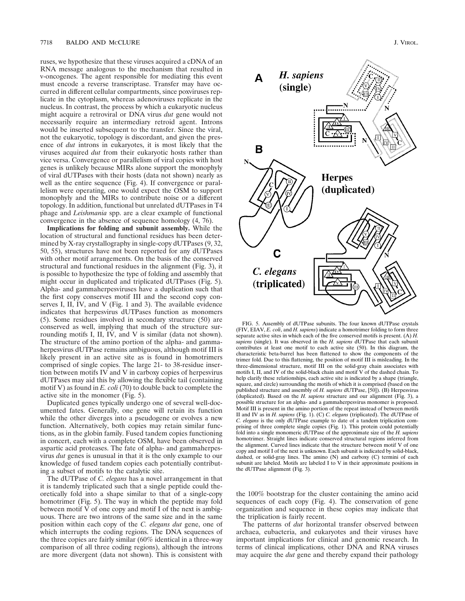ruses, we hypothesize that these viruses acquired a cDNA of an RNA message analogous to the mechanism that resulted in v-oncogenes. The agent responsible for mediating this event must encode a reverse transcriptase. Transfer may have occurred in different cellular compartments, since poxviruses replicate in the cytoplasm, whereas adenoviruses replicate in the nucleus. In contrast, the process by which a eukaryotic nucleus might acquire a retroviral or DNA virus *dut* gene would not necessarily require an intermediary retroid agent. Introns would be inserted subsequent to the transfer. Since the viral, not the eukaryotic, topology is discordant, and given the presence of *dut* introns in eukaryotes, it is most likely that the viruses acquired *dut* from their eukaryotic hosts rather than vice versa. Convergence or parallelism of viral copies with host genes is unlikely because MIRs alone support the monophyly of viral dUTPases with their hosts (data not shown) nearly as well as the entire sequence (Fig. 4). If convergence or parallelism were operating, one would expect the OSM to support monophyly and the MIRs to contribute noise or a different topology. In addition, functional but unrelated dUTPases in T4 phage and *Leishmania* spp. are a clear example of functional convergence in the absence of sequence homology (4, 76).

**Implications for folding and subunit assembly.** While the location of structural and functional residues has been determined by X-ray crystallography in single-copy dUTPases (9, 32, 50, 55), structures have not been reported for any dUTPases with other motif arrangements. On the basis of the conserved structural and functional residues in the alignment (Fig. 3), it is possible to hypothesize the type of folding and assembly that might occur in duplicated and triplicated dUTPases (Fig. 5). Alpha- and gammaherpesviruses have a duplication such that the first copy conserves motif III and the second copy conserves I, II, IV, and V (Fig. 1 and 3). The available evidence indicates that herpesvirus dUTPases function as monomers (5). Some residues involved in secondary structure (50) are conserved as well, implying that much of the structure surrounding motifs I, II, IV, and V is similar (data not shown). The structure of the amino portion of the alpha- and gammaherpesvirus dUTPase remains ambiguous, although motif III is likely present in an active site as is found in homotrimers comprised of single copies. The large 21- to 38-residue insertion between motifs IV and V in carboxy copies of herpesvirus dUTPases may aid this by allowing the flexible tail (containing motif V) as found in *E. coli* (70) to double back to complete the active site in the monomer (Fig. 5).

Duplicated genes typically undergo one of several well-documented fates. Generally, one gene will retain its function while the other diverges into a pseudogene or evolves a new function. Alternatively, both copies may retain similar functions, as in the globin family. Fused tandem copies functioning in concert, each with a complete OSM, have been observed in aspartic acid proteases. The fate of alpha- and gammaherpesvirus *dut* genes is unusual in that it is the only example to our knowledge of fused tandem copies each potentially contributing a subset of motifs to the catalytic site.

The dUTPase of *C. elegans* has a novel arrangement in that it is tandemly triplicated such that a single peptide could theoretically fold into a shape similar to that of a single-copy homotrimer (Fig. 5). The way in which the peptide may fold between motif V of one copy and motif I of the next is ambiguous. There are two introns of the same size and in the same position within each copy of the *C. elegans dut* gene, one of which interrupts the coding regions. The DNA sequences of the three copies are fairly similar (60% identical in a three-way comparison of all three coding regions), although the introns are more divergent (data not shown). This is consistent with



FIG. 5. Assembly of dUTPase subunits. The four known dUTPase crystals (FIV, EIAV, *E. coli*, and *H. sapiens*) indicate a homotrimer folding to form three separate active sites in which each of the five conserved motifs is present. (A) *H. sapiens* (single). It was observed in the *H. sapiens* dUTPase that each subunit contributes at least one motif to each active site (50). In this diagram, the characteristic beta-barrel has been flattened to show the components of the trimer fold. Due to this flattening, the position of motif III is misleading. In the three-dimensional structure, motif III on the solid-gray chain associates with motifs I, II, and IV of the solid-black chain and motif V of the dashed chain. To help clarify these relationships, each active site is indicated by a shape (triangle, square, and circle) surrounding the motifs of which it is comprised (based on the published structure and assembly of *H. sapiens* dUTPase, [50]). (B) Herpesvirus (duplicated). Based on the *H. sapiens* structure and our alignment (Fig. 3), a possible structure for an alpha- and a gammaherpesvirus monomer is proposed. Motif III is present in the amino portion of the repeat instead of between motifs II and IV as in *H. sapiens* (Fig. 1). (C) *C. elegans* (triplicated). The dUTPase of *C. elegans* is the only dUTPase example to date of a tandem triplication comprising of three complete single copies (Fig. 1). This protein could potentially fold into a single monomeric dUTPase of the approximate size of the *H. sapiens* homotrimer. Straight lines indicate conserved structural regions inferred from the alignment. Curved lines indicate that the structure between motif V of one copy and motif I of the next is unknown. Each subunit is indicated by solid-black, dashed, or solid-gray lines. The amino (N) and carboxy (C) termini of each subunit are labeled. Motifs are labeled I to V in their approximate positions in the dUTPase alignment (Fig. 3).

the 100% bootstrap for the cluster containing the amino acid sequences of each copy (Fig. 4). The conservation of gene organization and sequence in these copies may indicate that the triplication is fairly recent.

The patterns of *dut* horizontal transfer observed between archaea, eubacteria, and eukaryotes and their viruses have important implications for clinical and genomic research. In terms of clinical implications, other DNA and RNA viruses may acquire the *dut* gene and thereby expand their pathology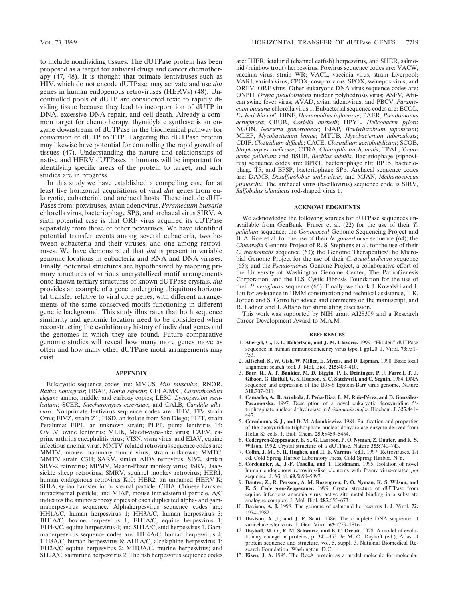to include nondividing tissues. The dUTPase protein has been proposed as a target for antiviral drugs and cancer chemotherapy (47, 48). It is thought that primate lentiviruses such as HIV, which do not encode dUTPase, may activate and use *dut* genes in human endogenous retroviruses (HERVs) (48). Uncontrolled pools of dUTP are considered toxic to rapidly dividing tissue because they lead to incorporation of dUTP in DNA, excessive DNA repair, and cell death. Already a common target for chemotherapy, thymidylate synthase is an enzyme downstream of dUTPase in the biochemical pathway for conversion of dUTP to TTP. Targeting the dUTPase protein may likewise have potential for controlling the rapid growth of tissues (47). Understanding the nature and relationships of native and HERV dUTPases in humans will be important for identifying specific areas of the protein to target, and such studies are in progress.

In this study we have established a compelling case for at least five horizontal acquisitions of viral *dut* genes from eukaryotic, eubacterial, and archaeal hosts. These include dUT-Pases from: poxviruses, avian adenovirus, *Paramecium bursaria* chlorella virus, bacteriophage SPB, and archaeal virus SIRV. A sixth potential case is that ORF virus acquired its dUTPase separately from those of other poxviruses. We have identified potential transfer events among several eubacteria, two between eubacteria and their viruses, and one among retroviruses. We have demonstrated that *dut* is present in variable genomic locations in eubacteria and RNA and DNA viruses. Finally, potential structures are hypothesized by mapping primary structures of various uncrystallized motif arrangements onto known tertiary structures of known dUTPase crystals. *dut* provides an example of a gene undergoing ubiquitous horizontal transfer relative to viral core genes, with different arrangements of the same conserved motifs functioning in different genetic background. This study illustrates that both sequence similarity and genomic location need to be considered when reconstructing the evolutionary history of individual genes and the genomes in which they are found. Future comparative genomic studies will reveal how many more genes move as often and how many other dUTPase motif arrangements may exist.

#### **APPENDIX**

Eukaryotic sequence codes are: MMUS, *Mus musculus*; RNOR, *Rattus norvegicus*; HSAP, *Homo sapiens*; CELA/M/C, *Caenorhabditis elegans* amino, middle, and carboxy copies; LESC, *Lycospersion esculentum*; SCER, *Saccharomyces cerevisiae*; and CALB, *Candida albicans*. Nonprimate lentivirus sequence codes are: 1FIV, FIV strain Oma; FIVZ, strain Z1; FISD, an isolate from San Diego; FIPT, strain Petaluma; FIPL, an unknown strain; PLPP, puma lentivirus 14; OVLV, ovine lentivirus; MLIK, Maedi-visna-like virus; CAEV, caprine arthritis encephalitis virus; VISN, visna virus; and EIAV, equine infectious anemia virus. MMTV-related retrovirus sequence codes are: MMTV, mouse mammary tumor virus, strain unknown; MMTC, MMTV strain C3H; SARV, simian AIDS retrovirus; SIV2, simian SRV-2 retrovirus; MPMV, Mason-Pfizer monkey virus; JSRV, Jaagsiekte sheep retrovirus; SMRV, squirrel monkey retrovirus; HER1, human endogenous retrovirus K10; HER2, an unnamed HERV-K; SHIA, syrian hamster intracisternal particle; CHIA, Chinese hamster intracisternal particle; and MIAP, mouse intracisternal particle. A/C indicates the amino/carboxy copies of each duplicated alpha- and gammaherpesvirus sequence. Alphaherpesvirus sequence codes are: HH1A/C, human herpesvirus 1; HH3A/C, human herpesvirus 3; BH1A/C, bovine herpesvirus 1; EH1A/C, equine herpesvirus 1; EH4A/C, equine herpesvirus 4; and SH1A/C, suid herpesvirus 1. Gammaherpesvirus sequence codes are: HH4A/C, human herpesvirus 4; HH8A/C, human herpesvirus 8; AH1A/C, alcelaphine herpesvirus 1; EH2A/C equine herpesvirus 2; MHUA/C, murine herpesvirus; and SH2A/C, saimiriine herpesvirus 2. The fish herpesvirus sequence codes are: IHER, ictalurid (channel catfish) herpesvirus, and SHER, salmonid (rainbow trout) herpesvirus. Poxvirus sequence codes are: VACW, vaccinia virus, strain WR; VACL, vaccinia virus, strain Liverpool; VARI, variola virus; CPOX, cowpox virus; SPOX, swinepox virus; and ORFV, ORF virus. Other eukaryotic DNA virus sequence codes are: ONPH, *Orygia pseudotsugata* nuclear polyhedrosis virus; ASFV, African swine fever virus; AVAD, avian adenovirus; and PBCV, *Paramecium bursaria* chlorella virus 1. Eubacterial sequence codes are: ECOL, *Escherichia coli*; HINF, *Haemophilus influenzae*; PAER, *Pseudomonas aeruginosa*; CBUR, *Coxiella burnetii*; HPYL, *Helicobacter pylori*; NGON, *Neisseria gonorrhoeae*; BJAP, *Bradyrhizobium japonicum*; MLEP, *Mycobacterium leprae*; MTUB, *Mycobacterium tuberculosis*; CDIF, *Clostridium difficile*; CACE, *Clostridium acetobutylicum*; SCOE, *Streptomyces coelicolor*; CTRA, *Chlamydia trachomatis*; TPAL, *Treponema pallidum*; and BSUB, *Bacillus subtilis*. Bacteriophage (siphovirus) sequence codes are: BPRT, bacteriophage r1t; BPT5, bacteriophage T5; and BPSP, bacteriophage SPB. Archaeal sequence codes are: DAMB, *Desulfurolobus ambivalens*, and MJAN, *Methanococcus jannaschii*. The archaeal virus (bacillovirus) sequence code is SIRV, *Sulfobulus islandicus* rod-shaped virus 1.

## **ACKNOWLEDGMENTS**

We acknowledge the following sources for dUTPase sequences unavailable from GenBank: Fraser et al. (22) for the use of their *T. pallidum* sequence; the *Gonococcal* Genome Sequencing Project and B. A. Roe et al. for the use of their *N. gonorrhoeae* sequence (64); the *Chlamydia* Genome Project of R. S. Stephens et al. for the use of their *C. trachomatis* sequence (63); the Genome Therapeutics/The Microbial Genome Project for the use of their *C. acetobutylicum* sequence (65); and the *Pseudomonas* Genome Project, a collaborative effort of the University of Washington Genome Center, The PathoGenesis Corporation, and the U.S. Cystic Fibrosis Foundation for the use of their *P. aeruginosa* sequence (66). Finally, we thank J. Kowalski and J. Liu for assistance in HMM construction and technical assistance, I. K. Jordan and S. Corro for advice and comments on the manuscript, and R. Ladner and J. Alfano for stimulating discussion.

This work was supported by NIH grant AI28309 and a Research Career Development Award to M.A.M.

#### **REFERENCES**

- 1. **Abergel, C., D. L. Robertson, and J.-M. Claverie.** 1999. "Hidden" dUTPase sequence in human immunodeficiency virus type 1 gp120. J. Virol. **73:**751– 753.
- 2. **Altschul, S., W. Gish, W. Miller, E. Myers, and D. Lipman.** 1990. Basic local alignment search tool. J. Mol. Biol. **215:**403–410.
- 3. **Baer, R., A. T. Bankier, M. D. Biggin, P. L. Deininger, P. J. Farrell, T. J. Gibson, G. Hatfull, G. S. Hudson, S. C. Satchwell, and C. Seguin.** 1984. DNA sequence and expression of the B95-8 Epstein-Barr virus genome. Nature **310:**207–211.
- 4. Camacho, A., R. Arrebola, J. Peña-Diaz, L. M. Ruiz-Pérez, and D. González-Pacanowska. 1997. Description of a novel eukaryotic deoxyuridine 5'triphosphate nucleotidohydrolase in *Leishmania major*. Biochem. J. **325:**441– 447.
- 5. **Caradonna, S. J., and D. M. Adamkiewicz.** 1984. Purification and properties of the deoxyuridine triphosphate nucleotidohydrolase enzyme derived from HeLa S3 cells. J. Biol. Chem. **259:**5459–5464.
- 6. **Cedergren-Zeppezauer, E. S., G. Larsson, P. O. Nyman, Z. Dauter, and K. S. Wilson.** 1992. Crystal structure of a dUTPase. Nature **355:**740–743.
- 7. **Coffin, J. M., S. H. Hughes, and H. E. Varmus (ed.).** 1997. Retroviruses, 1st ed. Cold Spring Harbor Laboratory Press, Cold Spring Harbor, N.Y.
- 8. **Cordonnier, A., J.-F. Casella, and T. Heidmann.** 1995. Isolation of novel human endogenous retrovirus-like elements with foamy virus-related *pol* sequence. J. Virol. **69:**5890–5897.
- 9. **Dauter, Z., R. Persson, A. M. Rosengren, P. O. Nyman, K. S. Wilson, and E. S. Cedergren-Zeppezauer.** 1999. Crystal structure of dUTPase from equine infectious anaemia virus: active site metal binding in a substrate analogue complex. J. Mol. Biol. **285:**655–673.
- 10. **Davison, A. J.** 1998. The genome of salmonid herpesvirus 1. J. Virol. **72:** 1974–1982.
- 11. **Davison, A. J., and J. E. Scott.** 1986. The complete DNA sequence of varicella-zoster virus. J. Gen. Virol. **67:**1759–1816.
- 12. **Dayhoff, M. O., R. M. Schwartz, and B. C. Orcutt.** 1978. A model of evolutionary change in proteins, p. 345–352. *In* M. O. Dayhoff (ed.), Atlas of protein sequence and structure, vol. 5, suppl. 3. National Biomedical Research Foundation, Washington, D.C.
- 13. **Eisen, J. A.** 1995. The RecA protein as a model molecule for molecular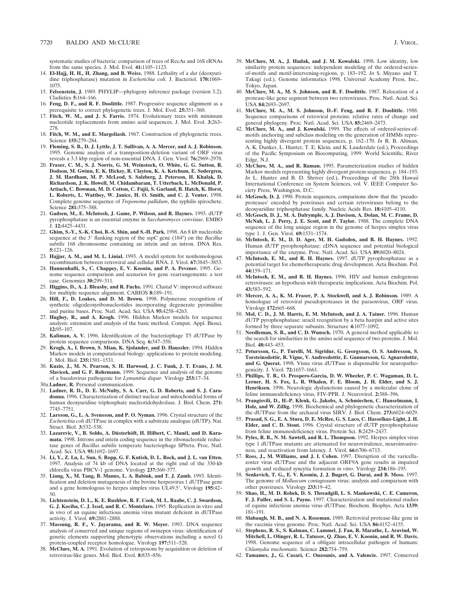systematic studies of bacteria: comparison of trees of RecAs and 16S rRNAs from the same species. J. Mol. Evol. **41:**1105–1123.

- 14. **El-Hajj, H. H., H. Zhang, and B. Weiss.** 1988. Lethality of a *dut* (deoxyuridine triphosphatase) mutation in *Escherichia coli*. J. Bacteriol. **170:**1069– 1075.
- 15. **Felsenstein, J.** 1989. PHYLIP—phylogeny inference package (version 3.2). Cladistics **5:**164–166.
- 16. **Feng, D. F., and R. F. Doolittle.** 1987. Progressive sequence alignment as a prerequisite to correct phylogenetic trees. J. Mol. Evol. **25:**351–360.
- 17. **Fitch, W. M., and J. S. Farris.** 1974. Evolutionary trees with minimum nucleotide replacements from amino acid sequences. J. Mol. Evol. **3:**263– 278.
- 18. **Fitch, W. M., and E. Margoliash.** 1967. Construction of phylogenetic trees. Science **155:**279–284.
- 19. **Fleming, S. B., D. J. Lyttle, J. T. Sullivan, A. A. Mercer, and A. J. Robinson.** 1995. Genomic analysis of a transposition-deletion variant of ORF virus reveals a 3.3 kbp region of non-essential DNA. J. Gen. Virol. **76:**2969–2978.
- 20. **Fraser, C. M., S. J. Norris, G. M. Weinstock, O. White, G. G. Sutton, R. Dodson, M. Gwinn, E. K. Hickey, R. Clayton, K. A. Ketchum, E. Sodergren, J. M. Hardham, M. P. McLeod, S. Salzberg, J. Peterson, H. Khalak, D. Richardson, J. K. Howell, M. Chidambaram, T. Utterback, L. McDonald, P. Artiach, C. Bowman, M. D. Cotton, C. Fujii, S. Garland, B. Hatch, K. Horst, L. Roberts, L. Watthey, W. Janice, H. O. Smith, and C. J. Venter.** 1998. Complete genome sequence of *Treponema pallidum*, the syphilis spirochete. Science **281:**375–388.
- 21. **Gadsen, M., E. McIntosh, J. Game, P. Wilson, and R. Haynes.** 1993. dUTP pyrophosphatase is an essential enzyme in *Saccharomyces cerevisiae*. EMBO J. **12:**4425–4431.
- 22. **Ghim, S.-Y., S.-K. Choi, B.-S. Shin, and S.-H. Park.** 1998. An 8 kb nucleotide sequence at the 3' flanking region of the sspC gene (184°) on the *Bacillus subtilis* 168 chromosome containing an intein and an intron. DNA Res. **5:**121–126.
- 23. **Hajjar, A. M., and M. L. Linial.** 1993. A model system for nonhomologous recombination between retroviral and cellular RNA. J. Virol. **67:**3845–3853.
- 24. **Hannenhalli, S., C. Chappey, E. V. Koonin, and P. A. Pevzner.** 1995. Genome sequence comparison and scenarios for gene rearrangements: a test case. Genomics **30:**299–311.
- 25. **Higgins, D., A. J. Bleasby, and R. Fuchs.** 1991. Clustal V: improved software for multiple sequence alignment. CABIOS **8:**189–191.
- 26. **Hill, F., D. Loakes, and D. M. Brown.** 1998. Polymerase recognition of synthetic oligodeoxyribonucleotides incorporating degenerate pyrimidine and purine bases. Proc. Natl. Acad. Sci. USA **95:**4258–4263.
- 27. **Hughey, R., and A. Krogh.** 1996. Hidden Markov models for sequence analysis: extension and analysis of the basic method. Comput. Appl. Biosci. **12:**95–107.
- 28. **Kaliman, A. V.** 1996. Identification of the bacteriophage T5 dUTPase by protein sequence comparisons. DNA Seq. **6:**347–350.
- 29. **Krogh, A., I. Brown, S. Mian, K. Sjolander, and D. Haussler.** 1994. Hidden Markov models in computational biology: applications to protein modeling. J. Mol. Biol. **235:**1501–1531.
- 30. **Kuzio, J., M. N. Pearson, S. H. Harwood, J. C. Funk, J. T. Evans, J. M. Slavicek, and G. F. Rohrmann.** 1999. Sequence and analysis of the genome of a baculovirus pathogenic for *Lymantria dispar.* Virology **253:**17–34.
- 30a.**Ladner, R.** Personal communication.
- 31. **Ladner, R. D., D. E. McNulty, S. A. Carr, G. D. Roberts, and S. J. Caradonna.** 1996. Characterization of distinct nuclear and mitochondrial forms of human deoxyuridine triphosphate nucleotidohydrolase. J. Biol. Chem. **271:** 7745–7751.
- 32. **Larsson, G., L. A. Svensson, and P. O. Nyman.** 1996. Crystal structure of the *Escherichia coli* dUTPase in complex with a substrate analogue (dUTP). Nat. Struct. Biol. **3:**532–538.
- 33. Lazarevic, V., B. Soldo, A. Düsterhöft, H. Hilbert, C. Mauël, and D. Kara**mata.** 1998. Introns and intein coding sequence in the ribonucleotide reductase genes of *Bacillus subtilis* temperate bacteriophage SPbeta. Proc. Natl. Acad. Sci. USA **95:**1692–1697.
- 34. **Li, Y., Z. Lu, L. Sun, S. Ropp, G. F. Kutish, D. L. Rock, and J. L. van Etten.** 1997. Analysis of 74 kb of DNA located at the right end of the 330-kb chlorella virus PBCV-1 genome. Virology **237:**360–377.
- 35. **Liang, X., M. Tang, B. Manns, L. A. Babiuk, and T. J. Zamb.** 1993. Identification and deletion mutagenesis of the bovine herpesvirus 1 dUTPase gene and a gene homologous to herpes simplex virus UL49.5'. Virology 195:42-50.
- 36. **Lichtenstein, D. L., K. E. Rushlow, R. F. Cook, M. L. Raabe, C. J. Swardson, G. J. Kociba, C. J. Issel, and R. C. Montelaro.** 1995. Replication in vitro and in vivo of an equine infectious anemia virus mutant deficient in dUTPase activity. J. Virol. **69:**2881–2888.
- 37. **Massung, R. F., V. Jayarama, and R. W. Moyer.** 1993. DNA sequence analysis of conserved and unique regions of swinepox virus: identification of genetic elements supporting phenotypic observations including a novel G protein-coupled receptor homologue. Virology **197:**511–528.
- 38. **McClure, M. A.** 1991. Evolution of retroposons by acquisition or deletion of retrovirus-like genes. Mol. Biol. Evol. **8:**835–856.
- 39. **McClure, M. A., J. Hudak, and J. M. Kowalski.** 1998. Low identity, low similarity protein sequences: independent modeling of the ordered-seriesof-motifs and motif-intervening-regions, p. 183–192. *In* S. Miyano and T. Takagi (ed.), Genome informatics 1998. Universal Academy Press, Inc., Tokyo, Japan.
- 40. **McClure, M. A., M. S. Johnson, and R. F. Doolittle.** 1987. Relocation of a protease-like gene segment between two retroviruses. Proc. Natl. Acad. Sci. USA **84:**2693–2697.
- 41. **McClure, M. A., M. S. Johnson, D.-F. Feng, and R. F. Doolittle.** 1988. Sequence comparisons of retroviral proteins: relative rates of change and general phylogeny. Proc. Natl. Acad. Sci. USA **85:**2469–2473.
- 42. **McClure, M. A., and J. Kowalski.** 1999. The effects of ordered-series-ofmotifs anchoring and subclass modeling on the generation of HMMs representing highly divergent protein sequences, p. 162–170. *In* R. B. Altman, A. K. Dunker, L. Hunter, T. E. Klein, and K. Lauderdale (ed.), Proceedings of the Pacific Symposium on Biocomputing, 1999. World Scientific, River Edge, N.J.
- 43. **McClure, M. A., and R. Raman.** 1995. Parameterization studies of hidden Markov models representing highly divergent protein sequences, p. 184–193. *In* L. Hunter and B. D. Shriver (ed.), Proceedings of the 28th Hawaii International Conference on System Sciences, vol. V. IEEE Computer Society Press, Washington, D.C.
- 44. **McGeoch, D. J.** 1990. Protein sequences, comparisons show that the 'pseudoproteases' encoded by poxviruses and certain retroviruses belong to the deoxyuridine triphosphatase family. Nucleic Acids Res. **18:**4105–4110.
- 45. **McGeoch, D. J., M. A. Dalrymple, A. J. Davison, A. Dolan, M. C. Frame, D. McNab, L. J. Perry, J. E. Scott, and P. Taylor.** 1988. The complete DNA sequence of the long unique region in the genome of herpes simplex virus type 1. J. Gen. Virol. **69:**1531–1574.
- 46. **McIntosh, E. M., D. D. Ager, M. H. Gadsden, and R. H. Haynes.** 1992. Human dUTP pyrophosphatase: cDNA sequence and potential biological importance of the enzyme. Proc. Natl. Acad. Sci. USA **89:**8020–8024.
- 47. **McIntosh, E. M., and R. H. Haynes.** 1997. dUTP pyrophosphatase as a potential target for chemotherapeutic drug development. Acta Biochim. Pol. **44:**159–171.
- 48. **McIntosh, E. M., and R. H. Haynes.** 1996. HIV and human endogenous retroviruses: an hypothesis with therapeutic implications. Acta Biochim. Pol. **43:**583–592.
- 49. **Mercer, A. A., K. M. Fraser, P. A. Stockwell, and A. J. Robinson.** 1989. A homologue of retroviral pseudoproteases in the paraoxvirus, ORF virus. Virology **172:**665–668.
- 50. **Mol, C. D., J. M. Harris, E. M. McIntosh, and J. A. Tainer.** 1996. Human dUTP pyrophosphatase: uracil recognition by a beta hairpin and active sites formed by three separate subunits. Structure **4:**1077–1092.
- 51. **Needleman, S. B., and C. D. Wunsch.** 1970. A general method applicable to the search for similarities in the amino acid sequence of two proteins. J. Mol. Biol. **48:**443–453.
- 52. **Petursson, G., P. Turelli, M. Sigridur, G. Georgsson, O. S. Andresson, S. Torsteinsdottir, R. Vigne, V. Andresdottir, E. Gunnarsson, G. Agnarsdottir, and G. Querat.** 1998. Visna virus dUTPase is dispensable for neuropathogenicity. J. Virol. **72:**1657–1661.
- 53. **Phillips, T. R., O. Prospero-Garcia, D. W. Wheeler, P. C. Wagaman, D. L. Lerner, H. S. Fox, L. R. Whalen, F. E. Bloom, J. H. Elder, and S. J. Henriksen.** 1996. Neurologic dysfunctions caused by a molecular clone of feline immunodeficiency virus, FIV-PPR. J. Neurovirol. **2:**388–396.
- 54. **Prangisvili, D., H.-P. Klenk, G. Jakobs, A. Schmiechen, C. Hanselmann, I. Holz, and W. Zillig.** 1998. Biochemical and phylogenetic characterization of the dUTPase from the archaeal virus SIRV. J. Biol. Chem. **273:**6024–6029.
- 55. **Prasad, S. G., E. A. Stura, D. E. McRee, G. S. Laco, C. Hasselkus-Light, J. H. Elder, and C. D. Stout.** 1996. Crystal structure of dUTP pyrophosphatase from feline immunodeficiency virus. Protein Sci. **5:**2429–2437.
- 56. **Pyles, R. B., N. M. Sawtell, and R. L. Thompson.** 1992. Herpes simplex virus type 1 dUTPase mutants are attenuated for neurovirulence, neuroinvasiveness, and reactivation from latency. J. Virol. **66:**6706–6713.
- 57. **Ross, J., M. Williams, and J. I. Cohen.** 1997. Disruption of the varicellazoster virus dUTPase and the adjacent ORF9A gene results in impaired growth and reduced syncytia formation *in vitro*. Virology **234:**186–195.
- 58. **Senkevich, T. G., E. V. Koonin, J. J. Bugert, G. Darai, and B. Moss.** 1997. The genome of *Molluscum contagiosum* virus: analysis and comparison with other poxviruses. Virology **233:**19–42.
- 59. **Shao, H., M. D. Robek, D. S. Threadgill, L. S. Mankowski, C. E. Cameron, F. J. Fuller, and S. L. Payne.** 1997. Characterization and mutational studies of equine infectious anemia virus dUTPase. Biochem. Biophys. Acta **1339:** 181–191.
- 60. **Slabaugh, M. B., and N. A. Roseman.** 1989. Retroviral protease-like gene in the vaccinia virus genome. Proc. Natl. Acad. Sci. USA **86:**4152–4155.
- 61. **Stephens, R. S., S. Kalman, C. Lammel, J. Fan, R. Marathe, L. Aravind, W. Mitchell, L. Olinger, R. L. Tatusov, Q. Zhao, E. V. Koonin, and R. W. Davis.** 1998. Genome sequence of a obligate intracellular pathogen of humans: *Chlamydia trachomatis*. Science **282:**754–759.
- 62. **Tamames, J., G. Casari, C. Ouzounis, and A. Valencie.** 1997. Conserved